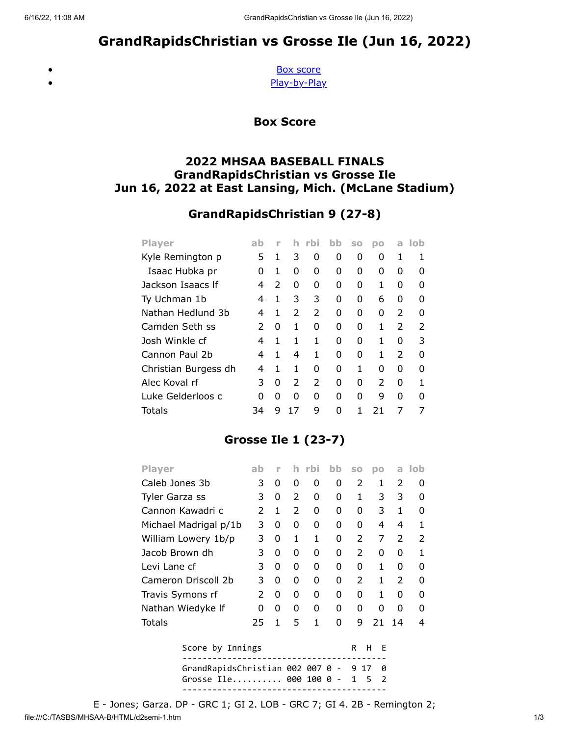# GrandRapidsChristian vs Grosse Ile (Jun 16, 2022)

<span id="page-0-0"></span> $\bullet$  $\bullet$ 

[Box score](#page-0-0) [Play-by-Play](#page-1-0)

Box Score

### 2022 MHSAA BASEBALL FINALS GrandRapidsChristian vs Grosse Ile Jun 16, 2022 at East Lansing, Mich. (McLane Stadium)

### GrandRapidsChristian 9 (27-8)

| <b>Player</b>        | ab | n             | h             | rbi           | bb | S <sub>0</sub> | <b>DO</b>     | a             | -lob |
|----------------------|----|---------------|---------------|---------------|----|----------------|---------------|---------------|------|
| Kyle Remington p     | 5  | 1             | 3             | 0             | 0  | 0              | 0             | 1             |      |
| Isaac Hubka pr       | O  | 1             | 0             | O             | O  | 0              | 0             | ŋ             | O    |
| Jackson Isaacs If    | 4  | $\mathcal{P}$ | O             | 0             | O  | O              | 1             | ŋ             | O    |
| Ty Uchman 1b         | 4  | 1             | 3             | 3             | 0  | 0              | 6             | O             | O    |
| Nathan Hedlund 3b    | 4  | 1             | $\mathcal{P}$ | 2             | O  | O              | 0             | $\mathcal{P}$ | O    |
| Camden Seth ss       | 2  | 0             | 1             | O             | O  | 0              | 1             | $\mathcal{P}$ | 2    |
| Josh Winkle cf       | 4  | 1             | 1             | 1             | O  | O              | 1             | ŋ             | 3    |
| Cannon Paul 2b       | 4  | 1             | 4             | 1             | O  | 0              | 1             | $\mathcal{P}$ | O    |
| Christian Burgess dh | 4  | 1             | 1             | ŋ             | O  | 1              | 0             | ŋ             | O    |
| Alec Koval rf        | 3  | 0             | $\mathcal{P}$ | $\mathcal{P}$ | O  | O              | $\mathcal{P}$ | O             |      |
| Luke Gelderloos c    | n  | 0             | ŋ             | ŋ             | O  | ŋ              | q             | O             |      |
| Totals               | 34 | g             | 17            | 9             | ŋ  |                | 21            | 7             |      |

## Grosse Ile 1 (23-7)

| <b>Player</b>                                        | ab            | ۲ |               | h rbi | bb | SO            | DO                      | a             | -lob          |
|------------------------------------------------------|---------------|---|---------------|-------|----|---------------|-------------------------|---------------|---------------|
| Caleb Jones 3b                                       | 3             | 0 | 0             | 0     | O  | $\mathcal{P}$ | 1.                      | $\mathcal{P}$ | 0             |
| Tyler Garza ss                                       | 3             | 0 | $\mathcal{P}$ | 0     | 0  | 1             | 3                       | 3             | ŋ             |
| Cannon Kawadri c                                     | 2             | 1 | 2             | 0     | 0  | 0             | 3                       | 1             | O             |
| Michael Madrigal p/1b                                | 3             | 0 | 0             | 0     | 0  | 0             | 4                       | 4             | 1             |
| William Lowery 1b/p                                  | 3             | 0 | $\mathbf{1}$  | 1     | 0  | $\mathcal{P}$ | 7                       | $\mathcal{P}$ | $\mathcal{P}$ |
| Jacob Brown dh                                       | 3             | 0 | 0             | 0     | 0  | $\mathcal{P}$ | 0                       | 0             | 1             |
| Levi Lane cf                                         | 3             | 0 | 0             | 0     | 0  | 0             | 1                       | 0             | <sup>0</sup>  |
| Cameron Driscoll 2b                                  | 3             | 0 | 0             | 0     | 0  | $\mathcal{P}$ | 1                       | $\mathcal{P}$ | O             |
| Travis Symons rf                                     | $\mathcal{P}$ | 0 | 0             | 0     | 0  | 0             | 1                       | 0             | O             |
| Nathan Wiedyke If                                    | 0             | 0 | 0             | 0     | 0  | 0             | 0                       | 0             | ŋ             |
| Totals                                               | 25            | 1 | 5             | 1     | O  | 9             | 21                      | 14            | 4             |
| Score by Innings<br>н<br>F<br>R                      |               |   |               |       |    |               |                         |               |               |
| GrandRapidsChristian 002 007 0<br>Grosse Ile 000 100 |               |   |               |       | 0  | 9<br>17       | ø<br>$\mathcal{P}$<br>5 |               |               |

file:///C:/TASBS/MHSAA-B/HTML/d2semi-1.htm 1/3 E - Jones; Garza. DP - GRC 1; GI 2. LOB - GRC 7; GI 4. 2B - Remington 2;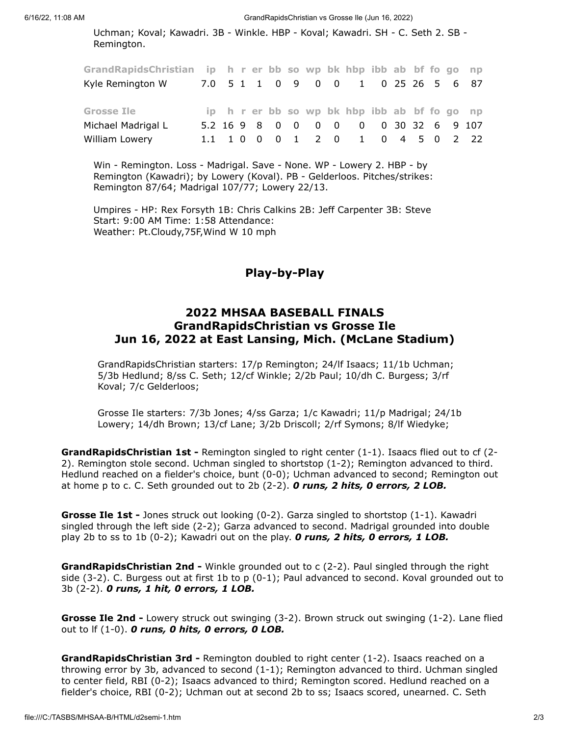6/16/22, 11:08 AM GrandRapidsChristian vs Grosse Ile (Jun 16, 2022)

Uchman; Koval; Kawadri. 3B - Winkle. HBP - Koval; Kawadri. SH - C. Seth 2. SB - Remington.

| GrandRapidsChristian ip h r er bb so wp bk hbp ibb ab bf fo go np |  |  |  |  |                                              |  |  |  |
|-------------------------------------------------------------------|--|--|--|--|----------------------------------------------|--|--|--|
| Kyle Remington W 7.0 5 1 1 0 9 0 0 1 0 25 26 5 6 87               |  |  |  |  |                                              |  |  |  |
| Grosse Ile                                                        |  |  |  |  | ip h r er bb so wp bk hbp ibb ab bf fo go np |  |  |  |
| Michael Madrigal L                                                |  |  |  |  | 5.2 16 9 8 0 0 0 0 0 0 30 32 6 9 107         |  |  |  |
| William Lowery                                                    |  |  |  |  | 1.1 1 0 0 0 1 2 0 1 0 4 5 0 2 22             |  |  |  |

Win - Remington. Loss - Madrigal. Save - None. WP - Lowery 2. HBP - by Remington (Kawadri); by Lowery (Koval). PB - Gelderloos. Pitches/strikes: Remington 87/64; Madrigal 107/77; Lowery 22/13.

<span id="page-1-0"></span>Umpires - HP: Rex Forsyth 1B: Chris Calkins 2B: Jeff Carpenter 3B: Steve Start: 9:00 AM Time: 1:58 Attendance: Weather: Pt.Cloudy,75F,Wind W 10 mph

#### Play-by-Play

#### 2022 MHSAA BASEBALL FINALS GrandRapidsChristian vs Grosse Ile Jun 16, 2022 at East Lansing, Mich. (McLane Stadium)

GrandRapidsChristian starters: 17/p Remington; 24/lf Isaacs; 11/1b Uchman; 5/3b Hedlund; 8/ss C. Seth; 12/cf Winkle; 2/2b Paul; 10/dh C. Burgess; 3/rf Koval; 7/c Gelderloos;

Grosse Ile starters: 7/3b Jones; 4/ss Garza; 1/c Kawadri; 11/p Madrigal; 24/1b Lowery; 14/dh Brown; 13/cf Lane; 3/2b Driscoll; 2/rf Symons; 8/lf Wiedyke;

GrandRapidsChristian 1st - Remington singled to right center (1-1). Isaacs flied out to cf (2-2). Remington stole second. Uchman singled to shortstop (1-2); Remington advanced to third. Hedlund reached on a fielder's choice, bunt (0-0); Uchman advanced to second; Remington out at home p to c. C. Seth grounded out to 2b  $(2-2)$ . O runs, 2 hits, O errors, 2 LOB.

Grosse Ile 1st - Jones struck out looking (0-2). Garza singled to shortstop (1-1). Kawadri singled through the left side (2-2); Garza advanced to second. Madrigal grounded into double play 2b to ss to 1b  $(0-2)$ ; Kawadri out on the play. **O runs, 2 hits, 0 errors, 1 LOB.** 

GrandRapidsChristian 2nd - Winkle grounded out to c (2-2). Paul singled through the right side (3-2). C. Burgess out at first 1b to p (0-1); Paul advanced to second. Koval grounded out to 3b (2-2). 0 runs, 1 hit, 0 errors, 1 LOB.

Grosse Ile 2nd - Lowery struck out swinging (3-2). Brown struck out swinging (1-2). Lane flied out to If  $(1-0)$ . O runs, O hits, O errors, O LOB.

GrandRapidsChristian 3rd - Remington doubled to right center (1-2). Isaacs reached on a throwing error by 3b, advanced to second (1-1); Remington advanced to third. Uchman singled to center field, RBI (0-2); Isaacs advanced to third; Remington scored. Hedlund reached on a fielder's choice, RBI (0-2); Uchman out at second 2b to ss; Isaacs scored, unearned. C. Seth